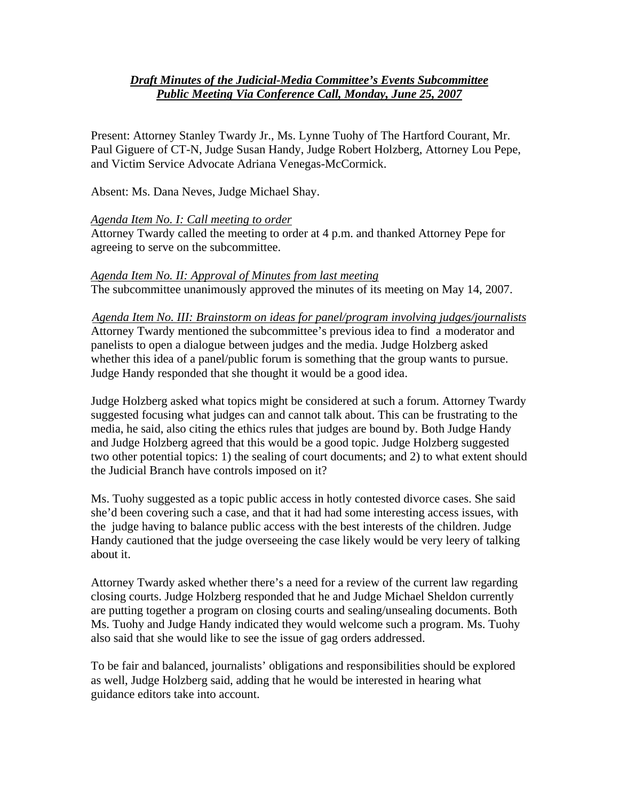## *Draft Minutes of the Judicial-Media Committee's Events Subcommittee Public Meeting Via Conference Call, Monday, June 25, 2007*

Present: Attorney Stanley Twardy Jr., Ms. Lynne Tuohy of The Hartford Courant, Mr. Paul Giguere of CT-N, Judge Susan Handy, Judge Robert Holzberg, Attorney Lou Pepe, and Victim Service Advocate Adriana Venegas-McCormick.

Absent: Ms. Dana Neves, Judge Michael Shay.

## *Agenda Item No. I: Call meeting to order*

Attorney Twardy called the meeting to order at 4 p.m. and thanked Attorney Pepe for agreeing to serve on the subcommittee.

## *Agenda Item No. II: Approval of Minutes from last meeting*

The subcommittee unanimously approved the minutes of its meeting on May 14, 2007.

*Agenda Item No. III: Brainstorm on ideas for panel/program involving judges/journalists* Attorney Twardy mentioned the subcommittee's previous idea to find a moderator and panelists to open a dialogue between judges and the media. Judge Holzberg asked whether this idea of a panel/public forum is something that the group wants to pursue. Judge Handy responded that she thought it would be a good idea.

Judge Holzberg asked what topics might be considered at such a forum. Attorney Twardy suggested focusing what judges can and cannot talk about. This can be frustrating to the media, he said, also citing the ethics rules that judges are bound by. Both Judge Handy and Judge Holzberg agreed that this would be a good topic. Judge Holzberg suggested two other potential topics: 1) the sealing of court documents; and 2) to what extent should the Judicial Branch have controls imposed on it?

Ms. Tuohy suggested as a topic public access in hotly contested divorce cases. She said she'd been covering such a case, and that it had had some interesting access issues, with the judge having to balance public access with the best interests of the children. Judge Handy cautioned that the judge overseeing the case likely would be very leery of talking about it.

Attorney Twardy asked whether there's a need for a review of the current law regarding closing courts. Judge Holzberg responded that he and Judge Michael Sheldon currently are putting together a program on closing courts and sealing/unsealing documents. Both Ms. Tuohy and Judge Handy indicated they would welcome such a program. Ms. Tuohy also said that she would like to see the issue of gag orders addressed.

To be fair and balanced, journalists' obligations and responsibilities should be explored as well, Judge Holzberg said, adding that he would be interested in hearing what guidance editors take into account.